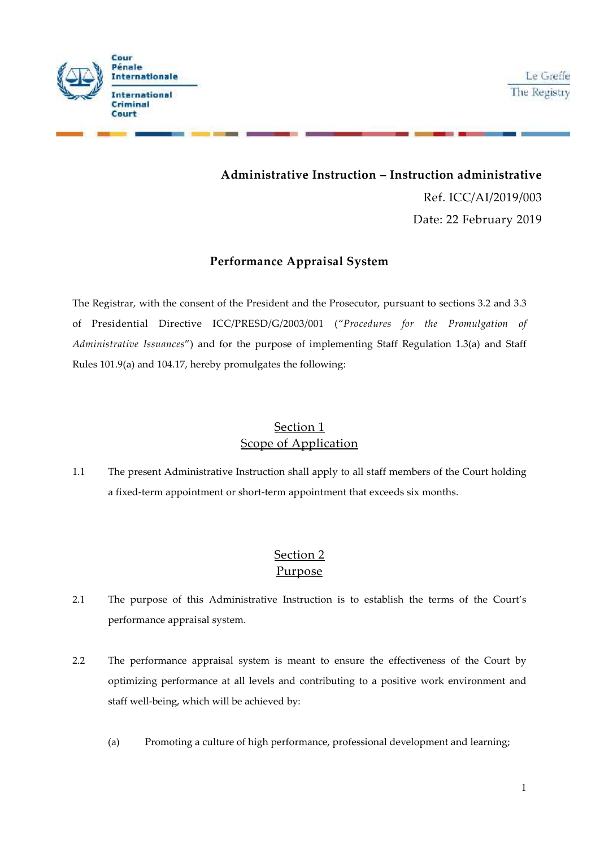

# **Administrative Instruction – Instruction administrative** Ref. ICC/AI/2019/003 Date: 22 February 2019

## **Performance Appraisal System**

The Registrar, with the consent of the President and the Prosecutor, pursuant to sections 3.2 and 3.3 of Presidential Directive ICC/PRESD/G/2003/001 ("*Procedures for the Promulgation of Administrative Issuances*") and for the purpose of implementing Staff Regulation 1.3(a) and Staff Rules 101.9(a) and 104.17, hereby promulgates the following:

# Section 1 Scope of Application

1.1 The present Administrative Instruction shall apply to all staff members of the Court holding a fixed-term appointment or short-term appointment that exceeds six months.

# Section 2 Purpose

- 2.1 The purpose of this Administrative Instruction is to establish the terms of the Court's performance appraisal system.
- 2.2 The performance appraisal system is meant to ensure the effectiveness of the Court by optimizing performance at all levels and contributing to a positive work environment and staff well-being, which will be achieved by:
	- (a) Promoting a culture of high performance, professional development and learning;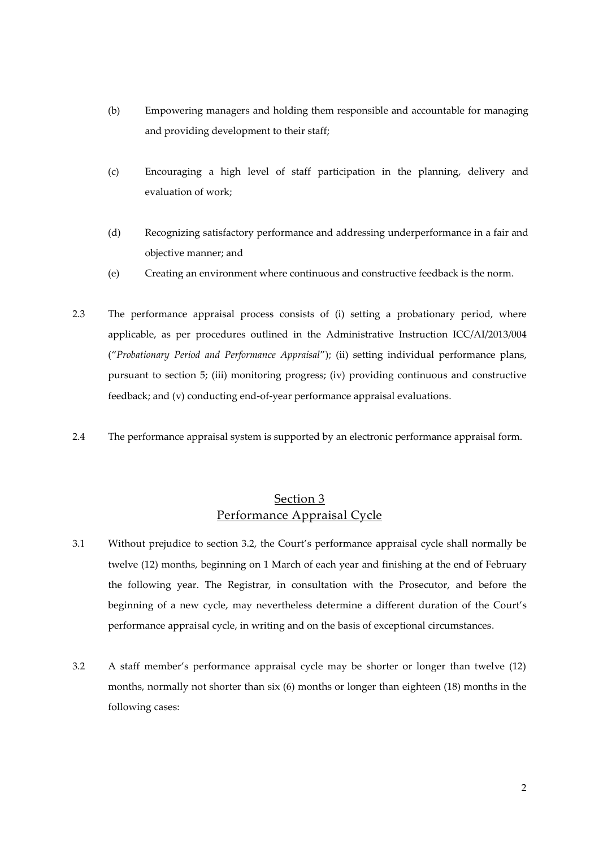- (b) Empowering managers and holding them responsible and accountable for managing and providing development to their staff;
- (c) Encouraging a high level of staff participation in the planning, delivery and evaluation of work;
- (d) Recognizing satisfactory performance and addressing underperformance in a fair and objective manner; and
- (e) Creating an environment where continuous and constructive feedback is the norm.
- 2.3 The performance appraisal process consists of (i) setting a probationary period, where applicable, as per procedures outlined in the Administrative Instruction ICC/AI/2013/004 ("*Probationary Period and Performance Appraisal*"); (ii) setting individual performance plans, pursuant to section 5; (iii) monitoring progress; (iv) providing continuous and constructive feedback; and (v) conducting end-of-year performance appraisal evaluations.
- 2.4 The performance appraisal system is supported by an electronic performance appraisal form.

## Section 3 Performance Appraisal Cycle

- 3.1 Without prejudice to section 3.2, the Court's performance appraisal cycle shall normally be twelve (12) months, beginning on 1 March of each year and finishing at the end of February the following year. The Registrar, in consultation with the Prosecutor, and before the beginning of a new cycle, may nevertheless determine a different duration of the Court's performance appraisal cycle, in writing and on the basis of exceptional circumstances.
- 3.2 A staff member's performance appraisal cycle may be shorter or longer than twelve (12) months, normally not shorter than six (6) months or longer than eighteen (18) months in the following cases: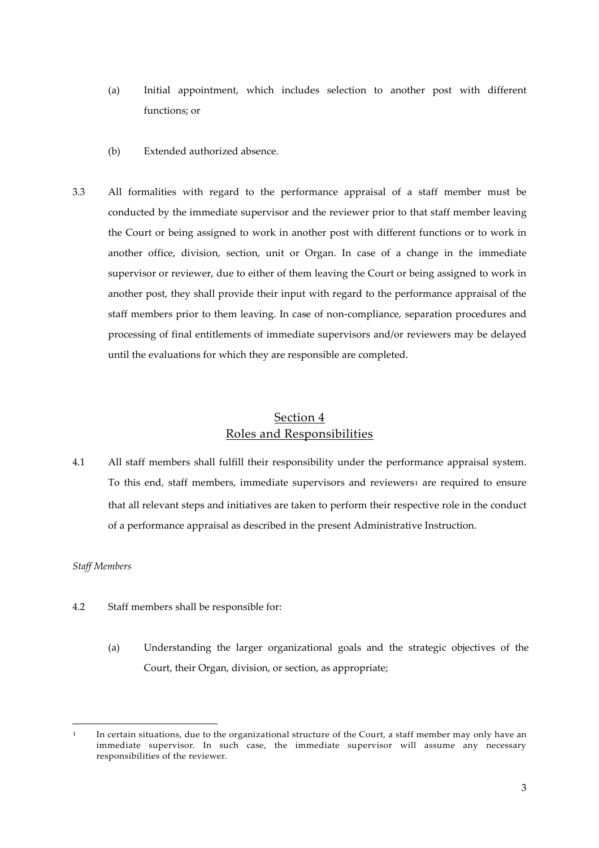- (a) Initial appointment, which includes selection to another post with different functions; or
- (b) Extended authorized absence.
- 3.3 All formalities with regard to the performance appraisal of a staff member must be conducted by the immediate supervisor and the reviewer prior to that staff member leaving the Court or being assigned to work in another post with different functions or to work in another office, division, section, unit or Organ. In case of a change in the immediate supervisor or reviewer, due to either of them leaving the Court or being assigned to work in another post, they shall provide their input with regard to the performance appraisal of the staff members prior to them leaving. In case of non-compliance, separation procedures and processing of final entitlements of immediate supervisors and/or reviewers may be delayed until the evaluations for which they are responsible are completed.

# Section 4 Roles and Responsibilities

4.1 All staff members shall fulfill their responsibility under the performance appraisal system. To this end, staff members, immediate supervisors and reviewers1 are required to ensure that all relevant steps and initiatives are taken to perform their respective role in the conduct of a performance appraisal as described in the present Administrative Instruction.

#### *Staff Members*

- 4.2 Staff members shall be responsible for:
	- (a) Understanding the larger organizational goals and the strategic objectives of the Court, their Organ, division, or section, as appropriate;

In certain situations, due to the organizational structure of the Court, a staff member may only have an immediate supervisor. In such case, the immediate supervisor will assume any necessary responsibilities of the reviewer.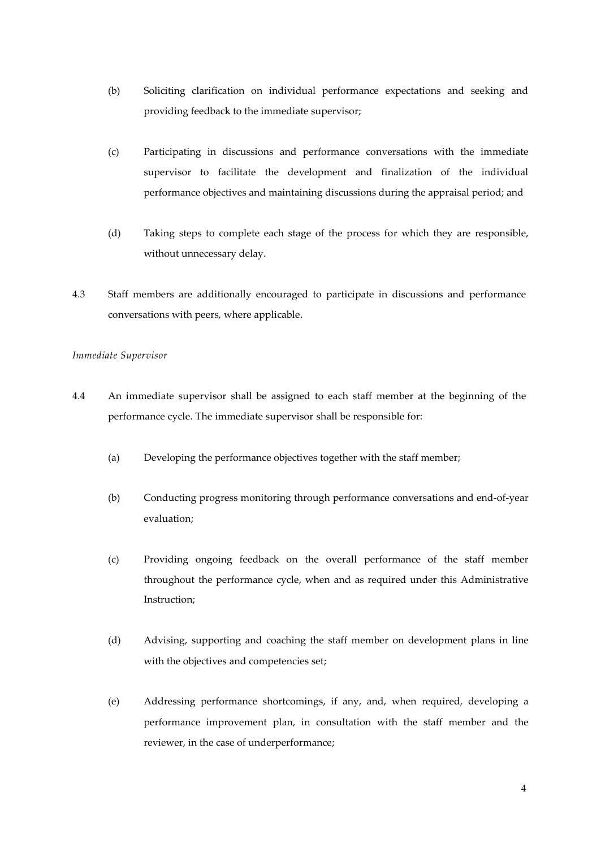- (b) Soliciting clarification on individual performance expectations and seeking and providing feedback to the immediate supervisor;
- (c) Participating in discussions and performance conversations with the immediate supervisor to facilitate the development and finalization of the individual performance objectives and maintaining discussions during the appraisal period; and
- (d) Taking steps to complete each stage of the process for which they are responsible, without unnecessary delay.
- 4.3 Staff members are additionally encouraged to participate in discussions and performance conversations with peers, where applicable.

#### *Immediate Supervisor*

- 4.4 An immediate supervisor shall be assigned to each staff member at the beginning of the performance cycle. The immediate supervisor shall be responsible for:
	- (a) Developing the performance objectives together with the staff member;
	- (b) Conducting progress monitoring through performance conversations and end-of-year evaluation;
	- (c) Providing ongoing feedback on the overall performance of the staff member throughout the performance cycle, when and as required under this Administrative Instruction;
	- (d) Advising, supporting and coaching the staff member on development plans in line with the objectives and competencies set;
	- (e) Addressing performance shortcomings, if any, and, when required, developing a performance improvement plan, in consultation with the staff member and the reviewer, in the case of underperformance;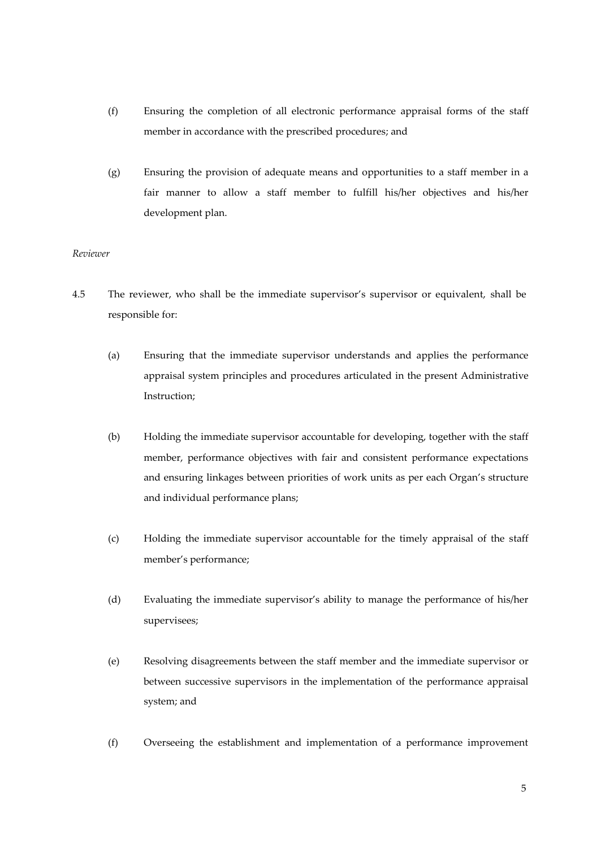- (f) Ensuring the completion of all electronic performance appraisal forms of the staff member in accordance with the prescribed procedures; and
- (g) Ensuring the provision of adequate means and opportunities to a staff member in a fair manner to allow a staff member to fulfill his/her objectives and his/her development plan.

#### *Reviewer*

- 4.5 The reviewer, who shall be the immediate supervisor's supervisor or equivalent, shall be responsible for:
	- (a) Ensuring that the immediate supervisor understands and applies the performance appraisal system principles and procedures articulated in the present Administrative Instruction;
	- (b) Holding the immediate supervisor accountable for developing, together with the staff member, performance objectives with fair and consistent performance expectations and ensuring linkages between priorities of work units as per each Organ's structure and individual performance plans;
	- (c) Holding the immediate supervisor accountable for the timely appraisal of the staff member's performance;
	- (d) Evaluating the immediate supervisor's ability to manage the performance of his/her supervisees;
	- (e) Resolving disagreements between the staff member and the immediate supervisor or between successive supervisors in the implementation of the performance appraisal system; and
	- (f) Overseeing the establishment and implementation of a performance improvement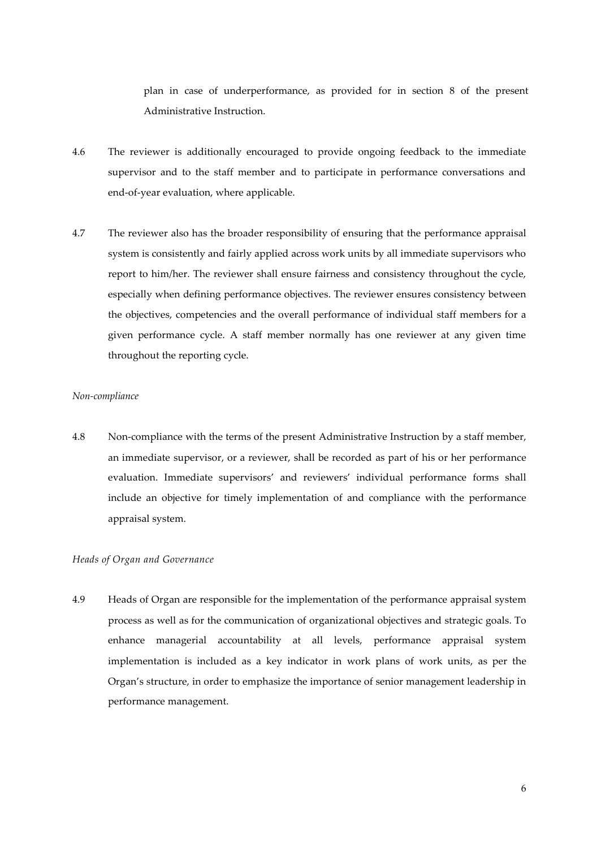plan in case of underperformance, as provided for in section 8 of the present Administrative Instruction.

- 4.6 The reviewer is additionally encouraged to provide ongoing feedback to the immediate supervisor and to the staff member and to participate in performance conversations and end-of-year evaluation, where applicable.
- 4.7 The reviewer also has the broader responsibility of ensuring that the performance appraisal system is consistently and fairly applied across work units by all immediate supervisors who report to him/her. The reviewer shall ensure fairness and consistency throughout the cycle, especially when defining performance objectives. The reviewer ensures consistency between the objectives, competencies and the overall performance of individual staff members for a given performance cycle. A staff member normally has one reviewer at any given time throughout the reporting cycle.

#### *Non-compliance*

4.8 Non-compliance with the terms of the present Administrative Instruction by a staff member, an immediate supervisor, or a reviewer, shall be recorded as part of his or her performance evaluation. Immediate supervisors' and reviewers' individual performance forms shall include an objective for timely implementation of and compliance with the performance appraisal system.

#### *Heads of Organ and Governance*

4.9 Heads of Organ are responsible for the implementation of the performance appraisal system process as well as for the communication of organizational objectives and strategic goals. To enhance managerial accountability at all levels, performance appraisal system implementation is included as a key indicator in work plans of work units, as per the Organ's structure, in order to emphasize the importance of senior management leadership in performance management.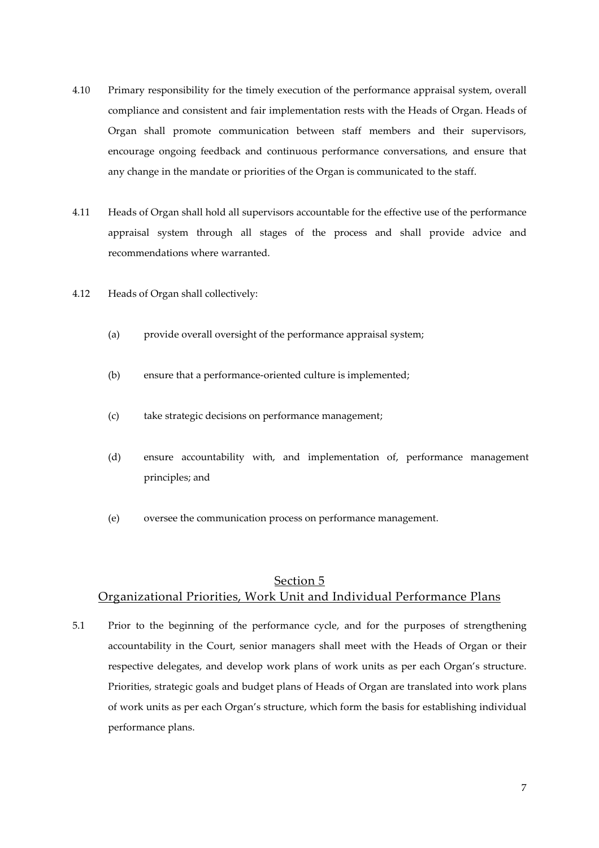- 4.10 Primary responsibility for the timely execution of the performance appraisal system, overall compliance and consistent and fair implementation rests with the Heads of Organ. Heads of Organ shall promote communication between staff members and their supervisors, encourage ongoing feedback and continuous performance conversations, and ensure that any change in the mandate or priorities of the Organ is communicated to the staff.
- 4.11 Heads of Organ shall hold all supervisors accountable for the effective use of the performance appraisal system through all stages of the process and shall provide advice and recommendations where warranted.
- 4.12 Heads of Organ shall collectively:
	- (a) provide overall oversight of the performance appraisal system;
	- (b) ensure that a performance-oriented culture is implemented;
	- (c) take strategic decisions on performance management;
	- (d) ensure accountability with, and implementation of, performance management principles; and
	- (e) oversee the communication process on performance management.

### Section 5

### Organizational Priorities, Work Unit and Individual Performance Plans

5.1 Prior to the beginning of the performance cycle, and for the purposes of strengthening accountability in the Court, senior managers shall meet with the Heads of Organ or their respective delegates, and develop work plans of work units as per each Organ's structure. Priorities, strategic goals and budget plans of Heads of Organ are translated into work plans of work units as per each Organ's structure, which form the basis for establishing individual performance plans.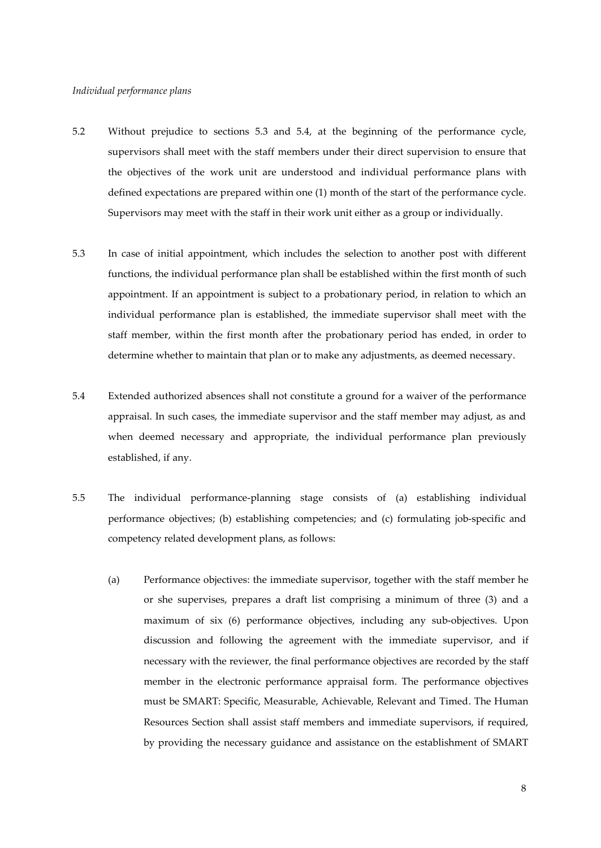#### *Individual performance plans*

- 5.2 Without prejudice to sections 5.3 and 5.4, at the beginning of the performance cycle, supervisors shall meet with the staff members under their direct supervision to ensure that the objectives of the work unit are understood and individual performance plans with defined expectations are prepared within one (1) month of the start of the performance cycle. Supervisors may meet with the staff in their work unit either as a group or individually.
- 5.3 In case of initial appointment, which includes the selection to another post with different functions, the individual performance plan shall be established within the first month of such appointment. If an appointment is subject to a probationary period, in relation to which an individual performance plan is established, the immediate supervisor shall meet with the staff member, within the first month after the probationary period has ended, in order to determine whether to maintain that plan or to make any adjustments, as deemed necessary.
- 5.4 Extended authorized absences shall not constitute a ground for a waiver of the performance appraisal. In such cases, the immediate supervisor and the staff member may adjust, as and when deemed necessary and appropriate, the individual performance plan previously established, if any.
- 5.5 The individual performance-planning stage consists of (a) establishing individual performance objectives; (b) establishing competencies; and (c) formulating job-specific and competency related development plans, as follows:
	- (a) Performance objectives: the immediate supervisor, together with the staff member he or she supervises, prepares a draft list comprising a minimum of three (3) and a maximum of six (6) performance objectives, including any sub-objectives. Upon discussion and following the agreement with the immediate supervisor, and if necessary with the reviewer, the final performance objectives are recorded by the staff member in the electronic performance appraisal form. The performance objectives must be SMART: Specific, Measurable, Achievable, Relevant and Timed. The Human Resources Section shall assist staff members and immediate supervisors, if required, by providing the necessary guidance and assistance on the establishment of SMART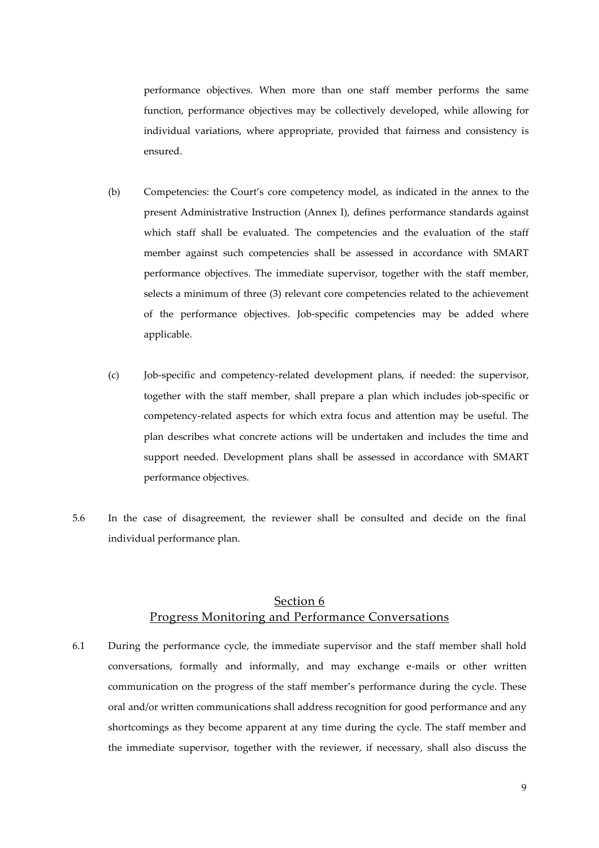performance objectives. When more than one staff member performs the same function, performance objectives may be collectively developed, while allowing for individual variations, where appropriate, provided that fairness and consistency is ensured.

- (b) Competencies: the Court's core competency model, as indicated in the annex to the present Administrative Instruction (Annex I), defines performance standards against which staff shall be evaluated. The competencies and the evaluation of the staff member against such competencies shall be assessed in accordance with SMART performance objectives. The immediate supervisor, together with the staff member, selects a minimum of three (3) relevant core competencies related to the achievement of the performance objectives. Job-specific competencies may be added where applicable.
- (c) Job-specific and competency-related development plans, if needed: the supervisor, together with the staff member, shall prepare a plan which includes job-specific or competency-related aspects for which extra focus and attention may be useful. The plan describes what concrete actions will be undertaken and includes the time and support needed. Development plans shall be assessed in accordance with SMART performance objectives.
- 5.6 In the case of disagreement, the reviewer shall be consulted and decide on the final individual performance plan.

## Section 6 Progress Monitoring and Performance Conversations

6.1 During the performance cycle, the immediate supervisor and the staff member shall hold conversations, formally and informally, and may exchange e-mails or other written communication on the progress of the staff member's performance during the cycle. These oral and/or written communications shall address recognition for good performance and any shortcomings as they become apparent at any time during the cycle. The staff member and the immediate supervisor, together with the reviewer, if necessary, shall also discuss the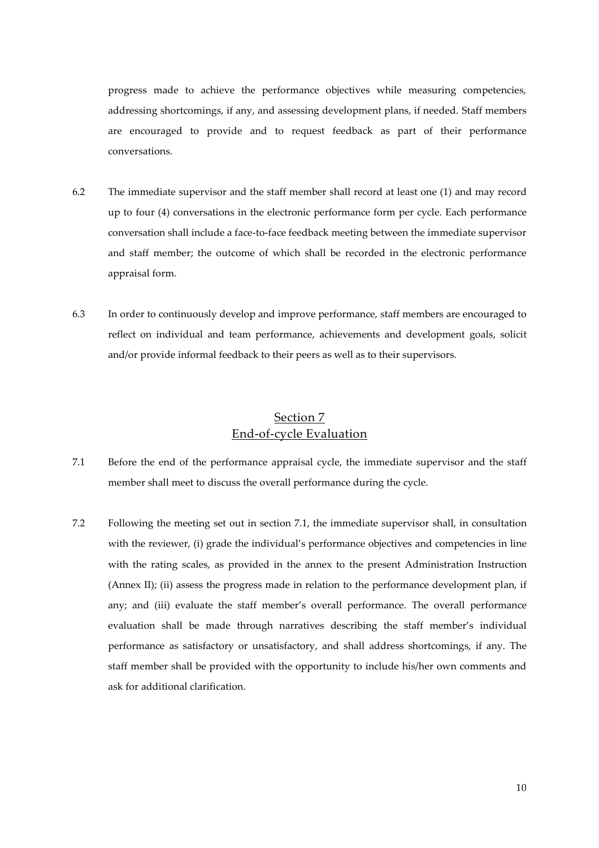progress made to achieve the performance objectives while measuring competencies, addressing shortcomings, if any, and assessing development plans, if needed. Staff members are encouraged to provide and to request feedback as part of their performance conversations.

- 6.2 The immediate supervisor and the staff member shall record at least one (1) and may record up to four (4) conversations in the electronic performance form per cycle. Each performance conversation shall include a face-to-face feedback meeting between the immediate supervisor and staff member; the outcome of which shall be recorded in the electronic performance appraisal form.
- 6.3 In order to continuously develop and improve performance, staff members are encouraged to reflect on individual and team performance, achievements and development goals, solicit and/or provide informal feedback to their peers as well as to their supervisors.

# Section 7 End-of-cycle Evaluation

- 7.1 Before the end of the performance appraisal cycle, the immediate supervisor and the staff member shall meet to discuss the overall performance during the cycle.
- 7.2 Following the meeting set out in section 7.1, the immediate supervisor shall, in consultation with the reviewer, (i) grade the individual's performance objectives and competencies in line with the rating scales, as provided in the annex to the present Administration Instruction (Annex II); (ii) assess the progress made in relation to the performance development plan, if any; and (iii) evaluate the staff member's overall performance. The overall performance evaluation shall be made through narratives describing the staff member's individual performance as satisfactory or unsatisfactory, and shall address shortcomings, if any. The staff member shall be provided with the opportunity to include his/her own comments and ask for additional clarification.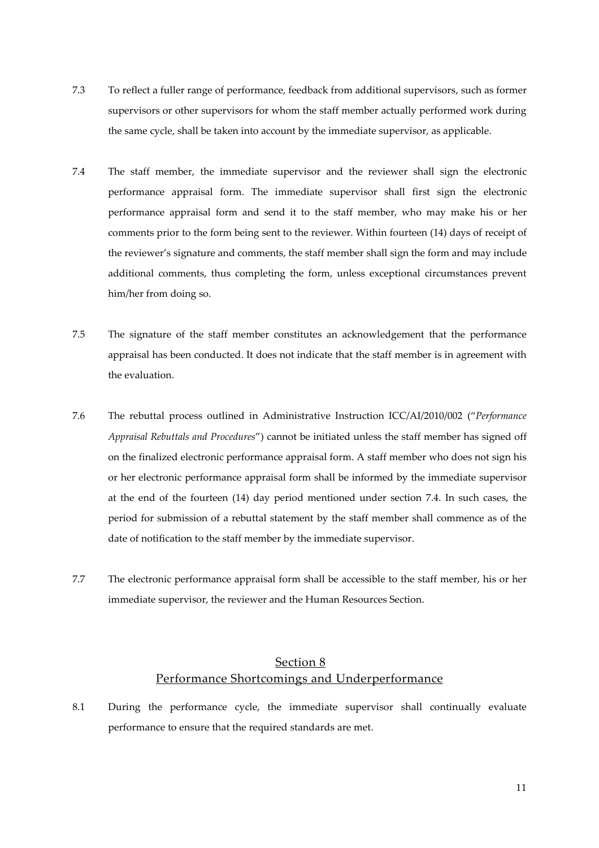- 7.3 To reflect a fuller range of performance, feedback from additional supervisors, such as former supervisors or other supervisors for whom the staff member actually performed work during the same cycle, shall be taken into account by the immediate supervisor, as applicable.
- 7.4 The staff member, the immediate supervisor and the reviewer shall sign the electronic performance appraisal form. The immediate supervisor shall first sign the electronic performance appraisal form and send it to the staff member, who may make his or her comments prior to the form being sent to the reviewer. Within fourteen (14) days of receipt of the reviewer's signature and comments, the staff member shall sign the form and may include additional comments, thus completing the form, unless exceptional circumstances prevent him/her from doing so.
- 7.5 The signature of the staff member constitutes an acknowledgement that the performance appraisal has been conducted. It does not indicate that the staff member is in agreement with the evaluation.
- 7.6 The rebuttal process outlined in Administrative Instruction ICC/AI/2010/002 ("*Performance Appraisal Rebuttals and Procedures*") cannot be initiated unless the staff member has signed off on the finalized electronic performance appraisal form. A staff member who does not sign his or her electronic performance appraisal form shall be informed by the immediate supervisor at the end of the fourteen (14) day period mentioned under section 7.4. In such cases, the period for submission of a rebuttal statement by the staff member shall commence as of the date of notification to the staff member by the immediate supervisor.
- 7.7 The electronic performance appraisal form shall be accessible to the staff member, his or her immediate supervisor, the reviewer and the Human Resources Section.

# Section 8 Performance Shortcomings and Underperformance

8.1 During the performance cycle, the immediate supervisor shall continually evaluate performance to ensure that the required standards are met.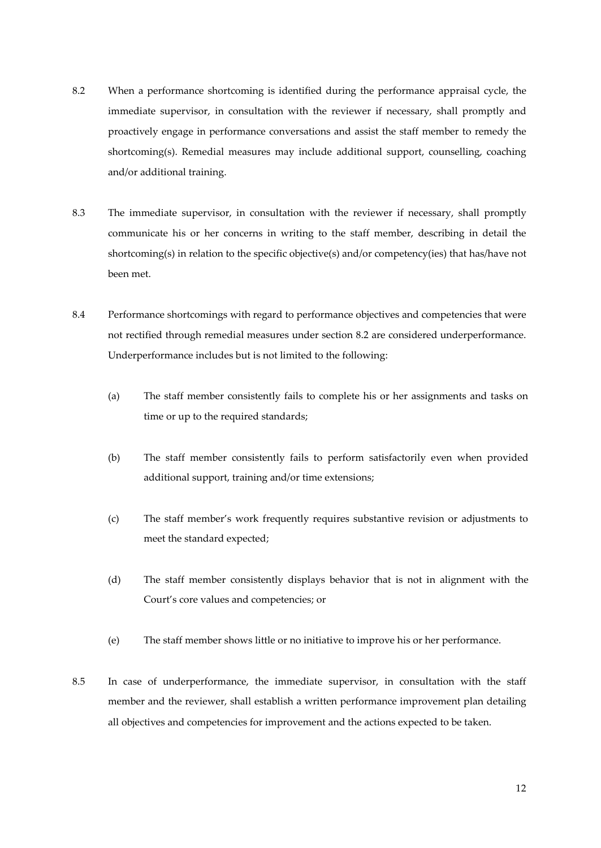- 8.2 When a performance shortcoming is identified during the performance appraisal cycle, the immediate supervisor, in consultation with the reviewer if necessary, shall promptly and proactively engage in performance conversations and assist the staff member to remedy the shortcoming(s). Remedial measures may include additional support, counselling, coaching and/or additional training.
- 8.3 The immediate supervisor, in consultation with the reviewer if necessary, shall promptly communicate his or her concerns in writing to the staff member, describing in detail the shortcoming(s) in relation to the specific objective(s) and/or competency(ies) that has/have not been met.
- 8.4 Performance shortcomings with regard to performance objectives and competencies that were not rectified through remedial measures under section 8.2 are considered underperformance. Underperformance includes but is not limited to the following:
	- (a) The staff member consistently fails to complete his or her assignments and tasks on time or up to the required standards;
	- (b) The staff member consistently fails to perform satisfactorily even when provided additional support, training and/or time extensions;
	- (c) The staff member's work frequently requires substantive revision or adjustments to meet the standard expected;
	- (d) The staff member consistently displays behavior that is not in alignment with the Court's core values and competencies; or
	- (e) The staff member shows little or no initiative to improve his or her performance.
- 8.5 In case of underperformance, the immediate supervisor, in consultation with the staff member and the reviewer, shall establish a written performance improvement plan detailing all objectives and competencies for improvement and the actions expected to be taken.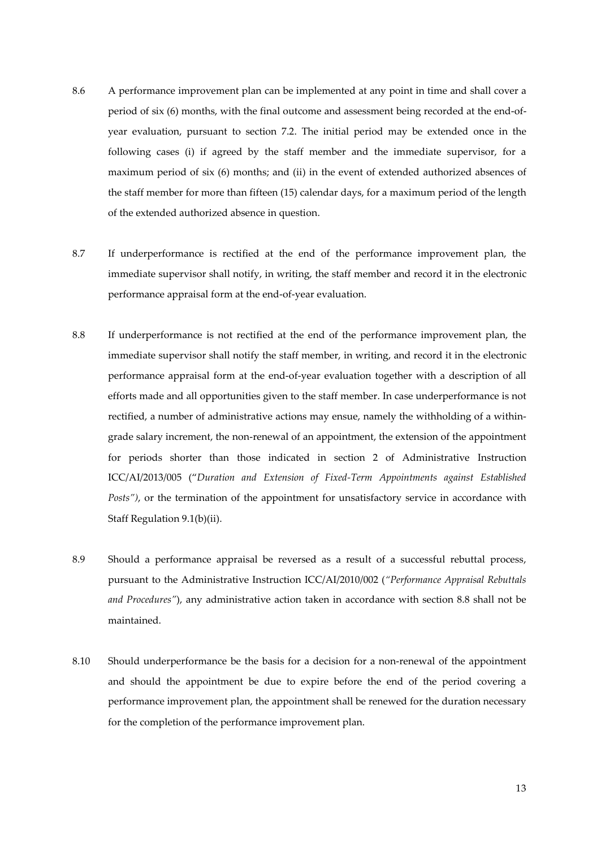- 8.6 A performance improvement plan can be implemented at any point in time and shall cover a period of six (6) months, with the final outcome and assessment being recorded at the end-of year evaluation, pursuant to section 7.2. The initial period may be extended once in the following cases (i) if agreed by the staff member and the immediate supervisor, for a maximum period of six (6) months; and (ii) in the event of extended authorized absences of the staff member for more than fifteen (15) calendar days, for a maximum period of the length of the extended authorized absence in question.
- 8.7 If underperformance is rectified at the end of the performance improvement plan, the immediate supervisor shall notify, in writing, the staff member and record it in the electronic performance appraisal form at the end-of-year evaluation.
- 8.8 If underperformance is not rectified at the end of the performance improvement plan, the immediate supervisor shall notify the staff member, in writing, and record it in the electronic performance appraisal form at the end-of-year evaluation together with a description of all efforts made and all opportunities given to the staff member. In case underperformance is not rectified, a number of administrative actions may ensue, namely the withholding of a within grade salary increment, the non-renewal of an appointment, the extension of the appointment for periods shorter than those indicated in section 2 of Administrative Instruction ICC/AI/2013/005 ("*Duration and Extension of Fixed-Term Appointments against Established Posts")*, or the termination of the appointment for unsatisfactory service in accordance with Staff Regulation 9.1(b)(ii).
- 8.9 Should a performance appraisal be reversed as a result of a successful rebuttal process, pursuant to the Administrative Instruction ICC/AI/2010/002 (*"Performance Appraisal Rebuttals and Procedures"*), any administrative action taken in accordance with section 8.8 shall not be maintained.
- 8.10 Should underperformance be the basis for a decision for a non-renewal of the appointment and should the appointment be due to expire before the end of the period covering a performance improvement plan, the appointment shall be renewed for the duration necessary for the completion of the performance improvement plan.